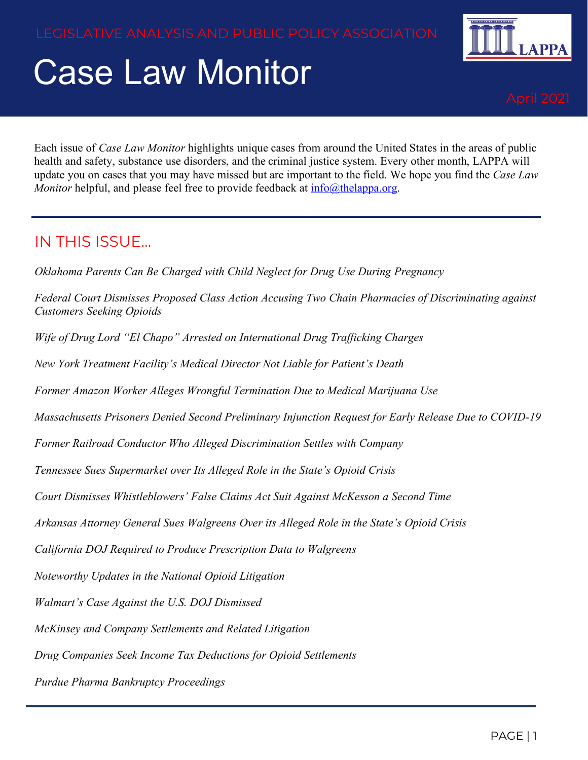# Case Law Monitor



Each issue of *Case Law Monitor* highlights unique cases from around the United States in the areas of public health and safety, substance use disorders, and the criminal justice system. Every other month, LAPPA will update you on cases that you may have missed but are important to the field. We hope you find the *Case Law Monitor* helpful, and please feel free to provide feedback at  $info@$ thelappa.org.

#### IN THIS ISSUE…

*Oklahoma Parents Can Be Charged with Child Neglect for Drug Use During Pregnancy*

*Federal Court Dismisses Proposed Class Action Accusing Two Chain Pharmacies of Discriminating against Customers Seeking Opioids*

*Wife of Drug Lord "El Chapo" Arrested on International Drug Trafficking Charges*

*New York Treatment Facility's Medical Director Not Liable for Patient's Death*

*Former Amazon Worker Alleges Wrongful Termination Due to Medical Marijuana Use*

*Massachusetts Prisoners Denied Second Preliminary Injunction Request for Early Release Due to COVID-19*

*Former Railroad Conductor Who Alleged Discrimination Settles with Company* 

*Tennessee Sues Supermarket over Its Alleged Role in the State's Opioid Crisis*

*Court Dismisses Whistleblowers' False Claims Act Suit Against McKesson a Second Time*

*Arkansas Attorney General Sues Walgreens Over its Alleged Role in the State's Opioid Crisis*

*California DOJ Required to Produce Prescription Data to Walgreens*

*Noteworthy Updates in the National Opioid Litigation*

*Walmart's Case Against the U.S. DOJ Dismissed* 

*McKinsey and Company Settlements and Related Litigation*

*Drug Companies Seek Income Tax Deductions for Opioid Settlements*

*Purdue Pharma Bankruptcy Proceedings*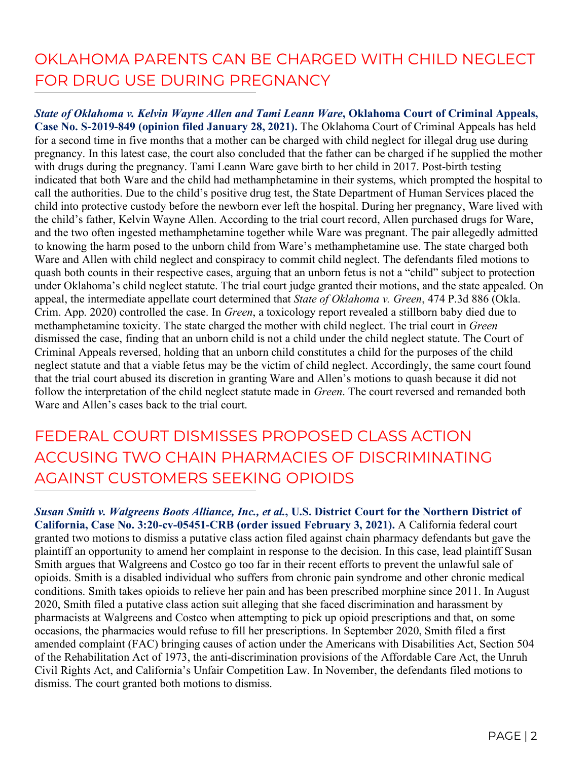#### OKLAHOMA PARENTS CAN BE CHARGED WITH CHILD NEGLECT FOR DRUG USE DURING PREGNANCY

*State of Oklahoma v. Kelvin Wayne Allen and Tami Leann Ware***, Oklahoma Court of Criminal Appeals, Case No. S-2019-849 (opinion filed January 28, 2021).** The Oklahoma Court of Criminal Appeals has held for a second time in five months that a mother can be charged with child neglect for illegal drug use during pregnancy. In this latest case, the court also concluded that the father can be charged if he supplied the mother with drugs during the pregnancy. Tami Leann Ware gave birth to her child in 2017. Post-birth testing indicated that both Ware and the child had methamphetamine in their systems, which prompted the hospital to call the authorities. Due to the child's positive drug test, the State Department of Human Services placed the child into protective custody before the newborn ever left the hospital. During her pregnancy, Ware lived with the child's father, Kelvin Wayne Allen. According to the trial court record, Allen purchased drugs for Ware, and the two often ingested methamphetamine together while Ware was pregnant. The pair allegedly admitted to knowing the harm posed to the unborn child from Ware's methamphetamine use. The state charged both Ware and Allen with child neglect and conspiracy to commit child neglect. The defendants filed motions to quash both counts in their respective cases, arguing that an unborn fetus is not a "child" subject to protection under Oklahoma's child neglect statute. The trial court judge granted their motions, and the state appealed. On appeal, the intermediate appellate court determined that *State of Oklahoma v. Green*, 474 P.3d 886 (Okla. Crim. App. 2020) controlled the case. In *Green*, a toxicology report revealed a stillborn baby died due to methamphetamine toxicity. The state charged the mother with child neglect. The trial court in *Green* dismissed the case, finding that an unborn child is not a child under the child neglect statute. The Court of Criminal Appeals reversed, holding that an unborn child constitutes a child for the purposes of the child neglect statute and that a viable fetus may be the victim of child neglect. Accordingly, the same court found that the trial court abused its discretion in granting Ware and Allen's motions to quash because it did not follow the interpretation of the child neglect statute made in *Green*. The court reversed and remanded both Ware and Allen's cases back to the trial court.

#### FEDERAL COURT DISMISSES PROPOSED CLASS ACTION ACCUSING TWO CHAIN PHARMACIES OF DISCRIMINATING AGAINST CUSTOMERS SEEKING OPIOIDS

*Susan Smith v. Walgreens Boots Alliance, Inc., et al.***, U.S. District Court for the Northern District of California, Case No. 3:20-cv-05451-CRB (order issued February 3, 2021).** A California federal court granted two motions to dismiss a putative class action filed against chain pharmacy defendants but gave the plaintiff an opportunity to amend her complaint in response to the decision. In this case, lead plaintiff Susan Smith argues that Walgreens and Costco go too far in their recent efforts to prevent the unlawful sale of opioids. Smith is a disabled individual who suffers from chronic pain syndrome and other chronic medical conditions. Smith takes opioids to relieve her pain and has been prescribed morphine since 2011. In August 2020, Smith filed a putative class action suit alleging that she faced discrimination and harassment by pharmacists at Walgreens and Costco when attempting to pick up opioid prescriptions and that, on some occasions, the pharmacies would refuse to fill her prescriptions. In September 2020, Smith filed a first amended complaint (FAC) bringing causes of action under the Americans with Disabilities Act, Section 504 of the Rehabilitation Act of 1973, the anti-discrimination provisions of the Affordable Care Act, the Unruh Civil Rights Act, and California's Unfair Competition Law. In November, the defendants filed motions to dismiss. The court granted both motions to dismiss.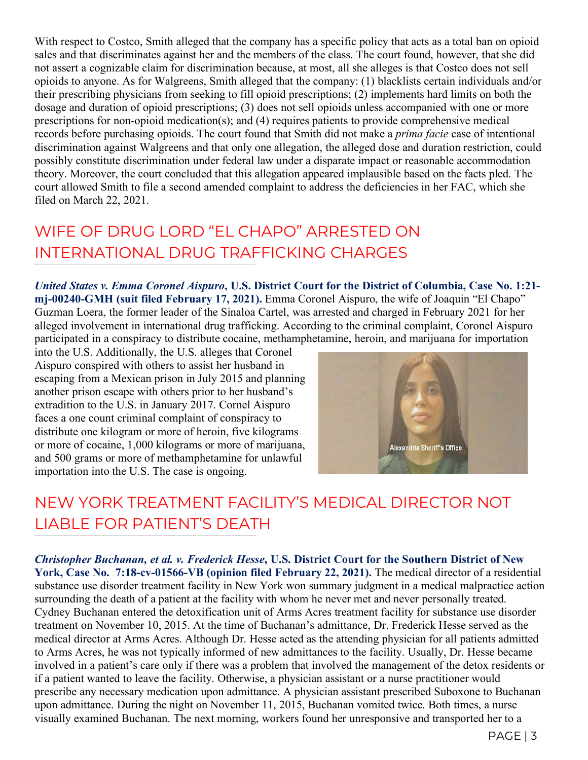With respect to Costco, Smith alleged that the company has a specific policy that acts as a total ban on opioid sales and that discriminates against her and the members of the class. The court found, however, that she did not assert a cognizable claim for discrimination because, at most, all she alleges is that Costco does not sell opioids to anyone. As for Walgreens, Smith alleged that the company: (1) blacklists certain individuals and/or their prescribing physicians from seeking to fill opioid prescriptions; (2) implements hard limits on both the dosage and duration of opioid prescriptions; (3) does not sell opioids unless accompanied with one or more prescriptions for non-opioid medication(s); and (4) requires patients to provide comprehensive medical records before purchasing opioids. The court found that Smith did not make a *prima facie* case of intentional discrimination against Walgreens and that only one allegation, the alleged dose and duration restriction, could possibly constitute discrimination under federal law under a disparate impact or reasonable accommodation theory. Moreover, the court concluded that this allegation appeared implausible based on the facts pled. The court allowed Smith to file a second amended complaint to address the deficiencies in her FAC, which she filed on March 22, 2021.

## WIFE OF DRUG LORD "EL CHAPO" ARRESTED ON INTERNATIONAL DRUG TRAFFICKING CHARGES

*United States v. Emma Coronel Aispuro***, U.S. District Court for the District of Columbia, Case No. 1:21 mj-00240-GMH (suit filed February 17, 2021).** Emma Coronel Aispuro, the wife of Joaquin "El Chapo" Guzman Loera, the former leader of the Sinaloa Cartel, was arrested and charged in February 2021 for her alleged involvement in international drug trafficking. According to the criminal complaint, Coronel Aispuro participated in a conspiracy to distribute cocaine, methamphetamine, heroin, and marijuana for importation

into the U.S. Additionally, the U.S. alleges that Coronel Aispuro conspired with others to assist her husband in escaping from a Mexican prison in July 2015 and planning another prison escape with others prior to her husband's extradition to the U.S. in January 2017. Cornel Aispuro faces a one count criminal complaint of conspiracy to distribute one kilogram or more of heroin, five kilograms or more of cocaine, 1,000 kilograms or more of marijuana, and 500 grams or more of methamphetamine for unlawful importation into the U.S. The case is ongoing.



### NEW YORK TREATMENT FACILITY'S MEDICAL DIRECTOR NOT LIABLE FOR PATIENT'S DEATH

*Christopher Buchanan, et al. v. Frederick Hesse***, U.S. District Court for the Southern District of New York, Case No. 7:18-cv-01566-VB (opinion filed February 22, 2021).** The medical director of a residential substance use disorder treatment facility in New York won summary judgment in a medical malpractice action surrounding the death of a patient at the facility with whom he never met and never personally treated. Cydney Buchanan entered the detoxification unit of Arms Acres treatment facility for substance use disorder treatment on November 10, 2015. At the time of Buchanan's admittance, Dr. Frederick Hesse served as the medical director at Arms Acres. Although Dr. Hesse acted as the attending physician for all patients admitted to Arms Acres, he was not typically informed of new admittances to the facility. Usually, Dr. Hesse became involved in a patient's care only if there was a problem that involved the management of the detox residents or if a patient wanted to leave the facility. Otherwise, a physician assistant or a nurse practitioner would prescribe any necessary medication upon admittance. A physician assistant prescribed Suboxone to Buchanan upon admittance. During the night on November 11, 2015, Buchanan vomited twice. Both times, a nurse visually examined Buchanan. The next morning, workers found her unresponsive and transported her to a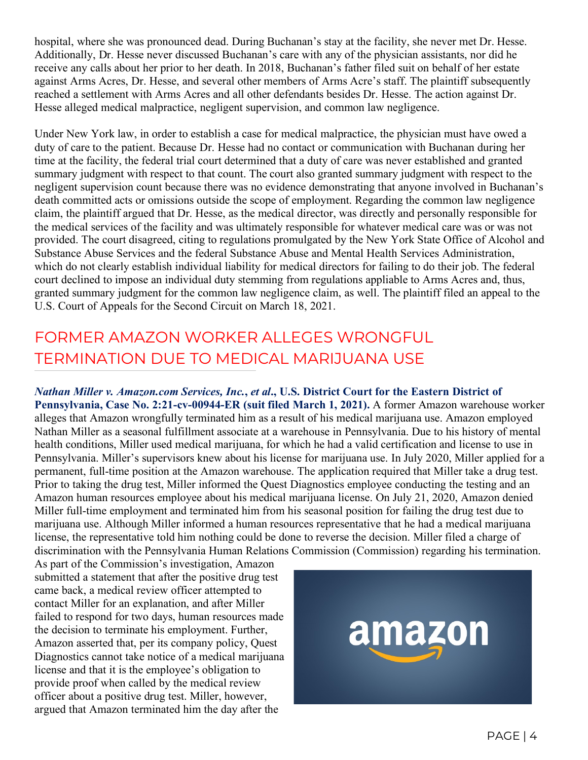hospital, where she was pronounced dead. During Buchanan's stay at the facility, she never met Dr. Hesse. Additionally, Dr. Hesse never discussed Buchanan's care with any of the physician assistants, nor did he receive any calls about her prior to her death. In 2018, Buchanan's father filed suit on behalf of her estate against Arms Acres, Dr. Hesse, and several other members of Arms Acre's staff. The plaintiff subsequently reached a settlement with Arms Acres and all other defendants besides Dr. Hesse. The action against Dr. Hesse alleged medical malpractice, negligent supervision, and common law negligence.

Under New York law, in order to establish a case for medical malpractice, the physician must have owed a duty of care to the patient. Because Dr. Hesse had no contact or communication with Buchanan during her time at the facility, the federal trial court determined that a duty of care was never established and granted summary judgment with respect to that count. The court also granted summary judgment with respect to the negligent supervision count because there was no evidence demonstrating that anyone involved in Buchanan's death committed acts or omissions outside the scope of employment. Regarding the common law negligence claim, the plaintiff argued that Dr. Hesse, as the medical director, was directly and personally responsible for the medical services of the facility and was ultimately responsible for whatever medical care was or was not provided. The court disagreed, citing to regulations promulgated by the New York State Office of Alcohol and Substance Abuse Services and the federal Substance Abuse and Mental Health Services Administration, which do not clearly establish individual liability for medical directors for failing to do their job. The federal court declined to impose an individual duty stemming from regulations appliable to Arms Acres and, thus, granted summary judgment for the common law negligence claim, as well. The plaintiff filed an appeal to the U.S. Court of Appeals for the Second Circuit on March 18, 2021.

#### FORMER AMAZON WORKER ALLEGES WRONGFUL TERMINATION DUE TO MEDICAL MARIJUANA USE

*Nathan Miller v. Amazon.com Services, Inc.***,** *et al***., U.S. District Court for the Eastern District of Pennsylvania, Case No. 2:21-cv-00944-ER (suit filed March 1, 2021).** A former Amazon warehouse worker alleges that Amazon wrongfully terminated him as a result of his medical marijuana use. Amazon employed Nathan Miller as a seasonal fulfillment associate at a warehouse in Pennsylvania. Due to his history of mental health conditions, Miller used medical marijuana, for which he had a valid certification and license to use in Pennsylvania. Miller's supervisors knew about his license for marijuana use. In July 2020, Miller applied for a permanent, full-time position at the Amazon warehouse. The application required that Miller take a drug test. Prior to taking the drug test, Miller informed the Quest Diagnostics employee conducting the testing and an Amazon human resources employee about his medical marijuana license. On July 21, 2020, Amazon denied Miller full-time employment and terminated him from his seasonal position for failing the drug test due to marijuana use. Although Miller informed a human resources representative that he had a medical marijuana license, the representative told him nothing could be done to reverse the decision. Miller filed a charge of discrimination with the Pennsylvania Human Relations Commission (Commission) regarding his termination.

As part of the Commission's investigation, Amazon submitted a statement that after the positive drug test came back, a medical review officer attempted to contact Miller for an explanation, and after Miller failed to respond for two days, human resources made the decision to terminate his employment. Further, Amazon asserted that, per its company policy, Quest Diagnostics cannot take notice of a medical marijuana license and that it is the employee's obligation to provide proof when called by the medical review officer about a positive drug test. Miller, however, argued that Amazon terminated him the day after the

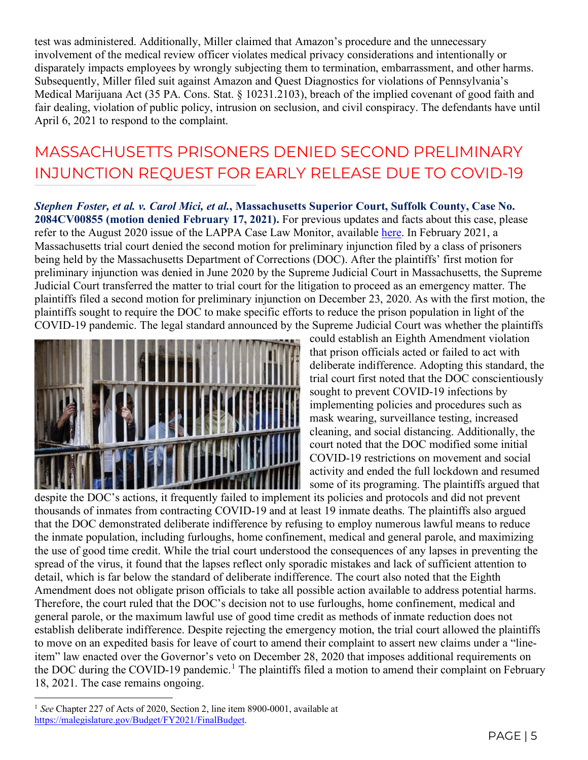test was administered. Additionally, Miller claimed that Amazon's procedure and the unnecessary involvement of the medical review officer violates medical privacy considerations and intentionally or disparately impacts employees by wrongly subjecting them to termination, embarrassment, and other harms. Subsequently, Miller filed suit against Amazon and Quest Diagnostics for violations of Pennsylvania's Medical Marijuana Act (35 PA. Cons. Stat. § 10231.2103), breach of the implied covenant of good faith and fair dealing, violation of public policy, intrusion on seclusion, and civil conspiracy. The defendants have until April 6, 2021 to respond to the complaint.

### MASSACHUSETTS PRISONERS DENIED SECOND PRELIMINARY INJUNCTION REQUEST FOR EARLY RELEASE DUE TO COVID-19

*Stephen Foster, et al. v. Carol Mici, et al.***, Massachusetts Superior Court, Suffolk County, Case No. 2084CV00855 (motion denied February 17, 2021).** For previous updates and facts about this case, please refer to the August 2020 issue of the LAPPA Case Law Monitor, available [here.](http://legislativeanalysis.org/wp-content/uploads/2020/08/August-2020-Case-Law-Monitor-.pdf) In February 2021, a Massachusetts trial court denied the second motion for preliminary injunction filed by a class of prisoners being held by the Massachusetts Department of Corrections (DOC). After the plaintiffs' first motion for preliminary injunction was denied in June 2020 by the Supreme Judicial Court in Massachusetts, the Supreme Judicial Court transferred the matter to trial court for the litigation to proceed as an emergency matter. The plaintiffs filed a second motion for preliminary injunction on December 23, 2020. As with the first motion, the plaintiffs sought to require the DOC to make specific efforts to reduce the prison population in light of the COVID-19 pandemic. The legal standard announced by the Supreme Judicial Court was whether the plaintiffs



could establish an Eighth Amendment violation that prison officials acted or failed to act with deliberate indifference. Adopting this standard, the trial court first noted that the DOC conscientiously sought to prevent COVID-19 infections by implementing policies and procedures such as mask wearing, surveillance testing, increased cleaning, and social distancing. Additionally, the court noted that the DOC modified some initial COVID-19 restrictions on movement and social activity and ended the full lockdown and resumed some of its programing. The plaintiffs argued that

despite the DOC's actions, it frequently failed to implement its policies and protocols and did not prevent thousands of inmates from contracting COVID-19 and at least 19 inmate deaths. The plaintiffs also argued that the DOC demonstrated deliberate indifference by refusing to employ numerous lawful means to reduce the inmate population, including furloughs, home confinement, medical and general parole, and maximizing the use of good time credit. While the trial court understood the consequences of any lapses in preventing the spread of the virus, it found that the lapses reflect only sporadic mistakes and lack of sufficient attention to detail, which is far below the standard of deliberate indifference. The court also noted that the Eighth Amendment does not obligate prison officials to take all possible action available to address potential harms. Therefore, the court ruled that the DOC's decision not to use furloughs, home confinement, medical and general parole, or the maximum lawful use of good time credit as methods of inmate reduction does not establish deliberate indifference. Despite rejecting the emergency motion, the trial court allowed the plaintiffs to move on an expedited basis for leave of court to amend their complaint to assert new claims under a "lineitem" law enacted over the Governor's veto on December 28, 2020 that imposes additional requirements on the DOC during the COVID-[1](#page-4-0)9 pandemic.<sup>1</sup> The plaintiffs filed a motion to amend their complaint on February 18, 2021. The case remains ongoing.

<span id="page-4-0"></span><sup>&</sup>lt;sup>1</sup> See Chapter 227 of Acts of 2020, Section 2, line item 8900-0001, available at [https://malegislature.gov/Budget/FY2021/FinalBudget.](https://malegislature.gov/Budget/FY2021/FinalBudget)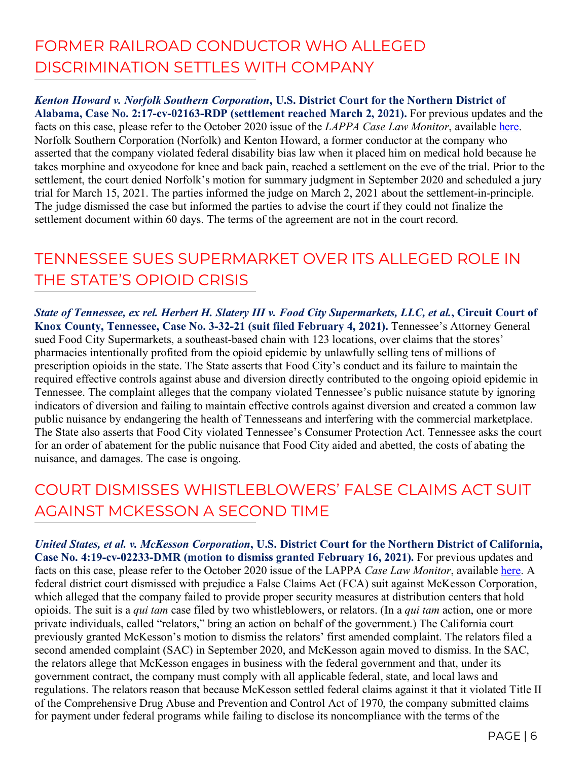#### FORMER RAILROAD CONDUCTOR WHO ALLEGED DISCRIMINATION SETTLES WITH COMPANY

*Kenton Howard v. Norfolk Southern Corporation***, U.S. District Court for the Northern District of Alabama, Case No. 2:17-cv-02163-RDP (settlement reached March 2, 2021).** For previous updates and the facts on this case, please refer to the October 2020 issue of the *LAPPA Case Law Monitor*, available [here.](http://legislativeanalysis.org/wp-content/uploads/2020/10/October-2020-Case-Law-Monitor-1.pdf) Norfolk Southern Corporation (Norfolk) and Kenton Howard, a former conductor at the company who asserted that the company violated federal disability bias law when it placed him on medical hold because he takes morphine and oxycodone for knee and back pain, reached a settlement on the eve of the trial. Prior to the settlement, the court denied Norfolk's motion for summary judgment in September 2020 and scheduled a jury trial for March 15, 2021. The parties informed the judge on March 2, 2021 about the settlement-in-principle. The judge dismissed the case but informed the parties to advise the court if they could not finalize the settlement document within 60 days. The terms of the agreement are not in the court record.

#### TENNESSEE SUES SUPERMARKET OVER ITS ALLEGED ROLE IN THE STATE'S OPIOID CRISIS

*State of Tennessee, ex rel. Herbert H. Slatery III v. Food City Supermarkets, LLC, et al.***, Circuit Court of Knox County, Tennessee, Case No. 3-32-21 (suit filed February 4, 2021).** Tennessee's Attorney General sued Food City Supermarkets, a southeast-based chain with 123 locations, over claims that the stores' pharmacies intentionally profited from the opioid epidemic by unlawfully selling tens of millions of prescription opioids in the state. The State asserts that Food City's conduct and its failure to maintain the required effective controls against abuse and diversion directly contributed to the ongoing opioid epidemic in Tennessee. The complaint alleges that the company violated Tennessee's public nuisance statute by ignoring indicators of diversion and failing to maintain effective controls against diversion and created a common law public nuisance by endangering the health of Tennesseans and interfering with the commercial marketplace. The State also asserts that Food City violated Tennessee's Consumer Protection Act. Tennessee asks the court for an order of abatement for the public nuisance that Food City aided and abetted, the costs of abating the nuisance, and damages. The case is ongoing.

#### COURT DISMISSES WHISTLEBLOWERS' FALSE CLAIMS ACT SUIT AGAINST MCKESSON A SECOND TIME

*United States, et al. v. McKesson Corporation***, U.S. District Court for the Northern District of California, Case No. 4:19-cv-02233-DMR (motion to dismiss granted February 16, 2021).** For previous updates and facts on this case, please refer to the October 2020 issue of the LAPPA *Case Law Monitor*, available [here.](http://legislativeanalysis.org/wp-content/uploads/2020/10/October-2020-Case-Law-Monitor-1.pdf) A federal district court dismissed with prejudice a False Claims Act (FCA) suit against McKesson Corporation, which alleged that the company failed to provide proper security measures at distribution centers that hold opioids. The suit is a *qui tam* case filed by two whistleblowers, or relators. (In a *qui tam* action, one or more private individuals, called "relators," bring an action on behalf of the government.) The California court previously granted McKesson's motion to dismiss the relators' first amended complaint. The relators filed a second amended complaint (SAC) in September 2020, and McKesson again moved to dismiss. In the SAC, the relators allege that McKesson engages in business with the federal government and that, under its government contract, the company must comply with all applicable federal, state, and local laws and regulations. The relators reason that because McKesson settled federal claims against it that it violated Title II of the Comprehensive Drug Abuse and Prevention and Control Act of 1970, the company submitted claims for payment under federal programs while failing to disclose its noncompliance with the terms of the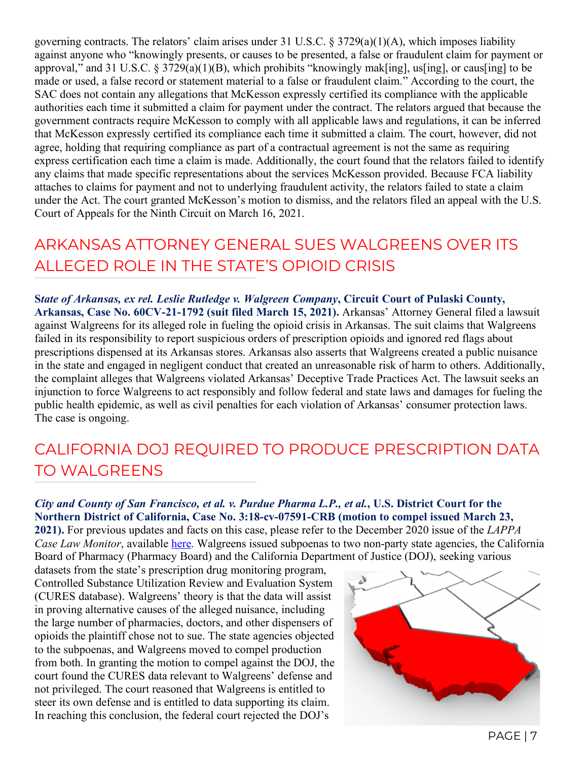governing contracts. The relators' claim arises under 31 U.S.C.  $\S 3729(a)(1)(A)$ , which imposes liability against anyone who "knowingly presents, or causes to be presented, a false or fraudulent claim for payment or approval," and 31 U.S.C. § 3729(a)(1)(B), which prohibits "knowingly mak[ing], us[ing], or caus[ing] to be made or used, a false record or statement material to a false or fraudulent claim." According to the court, the SAC does not contain any allegations that McKesson expressly certified its compliance with the applicable authorities each time it submitted a claim for payment under the contract. The relators argued that because the government contracts require McKesson to comply with all applicable laws and regulations, it can be inferred that McKesson expressly certified its compliance each time it submitted a claim. The court, however, did not agree, holding that requiring compliance as part of a contractual agreement is not the same as requiring express certification each time a claim is made. Additionally, the court found that the relators failed to identify any claims that made specific representations about the services McKesson provided. Because FCA liability attaches to claims for payment and not to underlying fraudulent activity, the relators failed to state a claim under the Act. The court granted McKesson's motion to dismiss, and the relators filed an appeal with the U.S. Court of Appeals for the Ninth Circuit on March 16, 2021.

#### ARKANSAS ATTORNEY GENERAL SUES WALGREENS OVER ITS ALLEGED ROLE IN THE STATE'S OPIOID CRISIS

**S***tate of Arkansas, ex rel. Leslie Rutledge v. Walgreen Company***, Circuit Court of Pulaski County, Arkansas, Case No. 60CV-21-1792 (suit filed March 15, 2021).** Arkansas' Attorney General filed a lawsuit against Walgreens for its alleged role in fueling the opioid crisis in Arkansas. The suit claims that Walgreens failed in its responsibility to report suspicious orders of prescription opioids and ignored red flags about prescriptions dispensed at its Arkansas stores. Arkansas also asserts that Walgreens created a public nuisance in the state and engaged in negligent conduct that created an unreasonable risk of harm to others. Additionally, the complaint alleges that Walgreens violated Arkansas' Deceptive Trade Practices Act. The lawsuit seeks an injunction to force Walgreens to act responsibly and follow federal and state laws and damages for fueling the public health epidemic, as well as civil penalties for each violation of Arkansas' consumer protection laws. The case is ongoing.

#### CALIFORNIA DOJ REQUIRED TO PRODUCE PRESCRIPTION DATA TO WALGREENS

#### *City and County of San Francisco, et al. v. Purdue Pharma L.P., et al.***, U.S. District Court for the Northern District of California, Case No. 3:18-cv-07591-CRB (motion to compel issued March 23,**

**2021).** For previous updates and facts on this case, please refer to the December 2020 issue of the *LAPPA Case Law Monitor*, available [here.](http://legislativeanalysis.org/wp-content/uploads/2020/12/December-2020-Case-Law-Monitor.pdf) Walgreens issued subpoenas to two non-party state agencies, the California Board of Pharmacy (Pharmacy Board) and the California Department of Justice (DOJ), seeking various

datasets from the state's prescription drug monitoring program, Controlled Substance Utilization Review and Evaluation System (CURES database). Walgreens' theory is that the data will assist in proving alternative causes of the alleged nuisance, including the large number of pharmacies, doctors, and other dispensers of opioids the plaintiff chose not to sue. The state agencies objected to the subpoenas, and Walgreens moved to compel production from both. In granting the motion to compel against the DOJ, the court found the CURES data relevant to Walgreens' defense and not privileged. The court reasoned that Walgreens is entitled to steer its own defense and is entitled to data supporting its claim. In reaching this conclusion, the federal court rejected the DOJ's

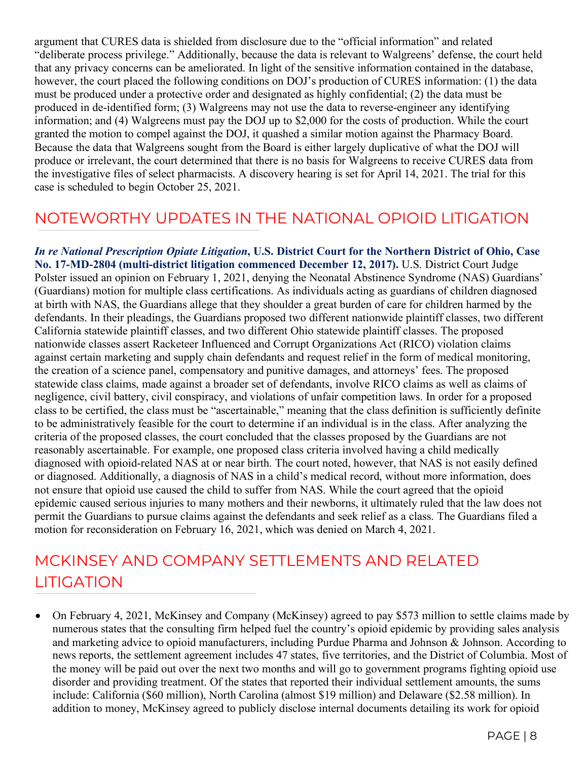argument that CURES data is shielded from disclosure due to the "official information" and related "deliberate process privilege." Additionally, because the data is relevant to Walgreens' defense, the court held that any privacy concerns can be ameliorated. In light of the sensitive information contained in the database, however, the court placed the following conditions on DOJ's production of CURES information: (1) the data must be produced under a protective order and designated as highly confidential; (2) the data must be produced in de-identified form; (3) Walgreens may not use the data to reverse-engineer any identifying information; and (4) Walgreens must pay the DOJ up to \$2,000 for the costs of production. While the court granted the motion to compel against the DOJ, it quashed a similar motion against the Pharmacy Board. Because the data that Walgreens sought from the Board is either largely duplicative of what the DOJ will produce or irrelevant, the court determined that there is no basis for Walgreens to receive CURES data from the investigative files of select pharmacists. A discovery hearing is set for April 14, 2021. The trial for this case is scheduled to begin October 25, 2021.

#### NOTEWORTHY UPDATES IN THE NATIONAL OPIOID LITIGATION

*In re National Prescription Opiate Litigation***, U.S. District Court for the Northern District of Ohio, Case No. 17-MD-2804 (multi-district litigation commenced December 12, 2017).** U.S. District Court Judge Polster issued an opinion on February 1, 2021, denying the Neonatal Abstinence Syndrome (NAS) Guardians' (Guardians) motion for multiple class certifications. As individuals acting as guardians of children diagnosed at birth with NAS, the Guardians allege that they shoulder a great burden of care for children harmed by the defendants. In their pleadings, the Guardians proposed two different nationwide plaintiff classes, two different California statewide plaintiff classes, and two different Ohio statewide plaintiff classes. The proposed nationwide classes assert Racketeer Influenced and Corrupt Organizations Act (RICO) violation claims against certain marketing and supply chain defendants and request relief in the form of medical monitoring, the creation of a science panel, compensatory and punitive damages, and attorneys' fees. The proposed statewide class claims, made against a broader set of defendants, involve RICO claims as well as claims of negligence, civil battery, civil conspiracy, and violations of unfair competition laws. In order for a proposed class to be certified, the class must be "ascertainable," meaning that the class definition is sufficiently definite to be administratively feasible for the court to determine if an individual is in the class. After analyzing the criteria of the proposed classes, the court concluded that the classes proposed by the Guardians are not reasonably ascertainable. For example, one proposed class criteria involved having a child medically diagnosed with opioid-related NAS at or near birth. The court noted, however, that NAS is not easily defined or diagnosed. Additionally, a diagnosis of NAS in a child's medical record, without more information, does not ensure that opioid use caused the child to suffer from NAS. While the court agreed that the opioid epidemic caused serious injuries to many mothers and their newborns, it ultimately ruled that the law does not permit the Guardians to pursue claims against the defendants and seek relief as a class. The Guardians filed a motion for reconsideration on February 16, 2021, which was denied on March 4, 2021.

#### MCKINSEY AND COMPANY SETTLEMENTS AND RELATED LITIGATION

• On February 4, 2021, McKinsey and Company (McKinsey) agreed to pay \$573 million to settle claims made by numerous states that the consulting firm helped fuel the country's opioid epidemic by providing sales analysis and marketing advice to opioid manufacturers, including Purdue Pharma and Johnson & Johnson. According to news reports, the settlement agreement includes 47 states, five territories, and the District of Columbia. Most of the money will be paid out over the next two months and will go to government programs fighting opioid use disorder and providing treatment. Of the states that reported their individual settlement amounts, the sums include: California (\$60 million), North Carolina (almost \$19 million) and Delaware (\$2.58 million). In addition to money, McKinsey agreed to publicly disclose internal documents detailing its work for opioid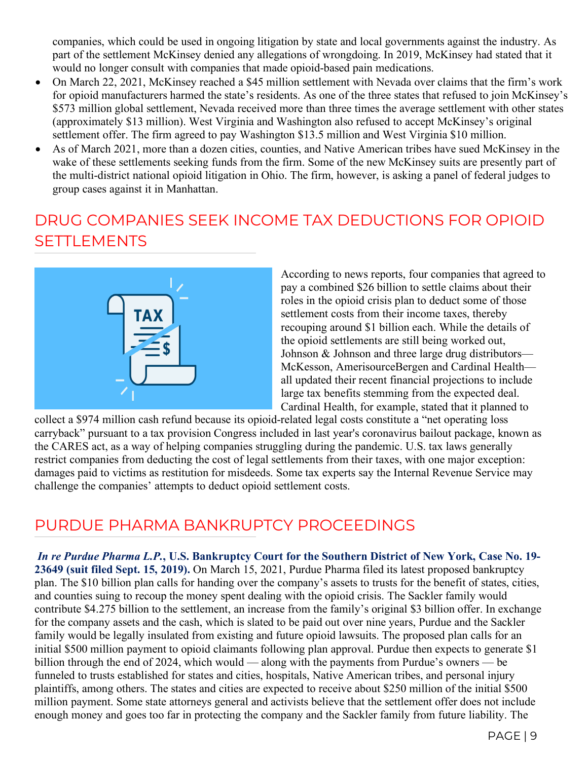companies, which could be used in ongoing litigation by state and local governments against the industry. As part of the settlement McKinsey denied any allegations of wrongdoing. In 2019, McKinsey had stated that it would no longer consult with companies that made opioid-based pain medications.

- On March 22, 2021, McKinsey reached a \$45 million settlement with Nevada over claims that the firm's work for opioid manufacturers harmed the state's residents. As one of the three states that refused to join McKinsey's \$573 million global settlement, Nevada received more than three times the average settlement with other states (approximately \$13 million). West Virginia and Washington also refused to accept McKinsey's original settlement offer. The firm agreed to pay Washington \$13.5 million and West Virginia \$10 million.
- As of March 2021, more than a dozen cities, counties, and Native American tribes have sued McKinsey in the wake of these settlements seeking funds from the firm. Some of the new McKinsey suits are presently part of the multi-district national opioid litigation in Ohio. The firm, however, is asking a panel of federal judges to group cases against it in Manhattan.

#### DRUG COMPANIES SEEK INCOME TAX DEDUCTIONS FOR OPIOID **SETTLEMENTS**



According to news reports, four companies that agreed to pay a combined \$26 billion to settle claims about their roles in the opioid crisis plan to deduct some of those settlement costs from their income taxes, thereby recouping around \$1 billion each. While the details of the opioid settlements are still being worked out, Johnson & Johnson and three large drug distributors— McKesson, AmerisourceBergen and Cardinal Health all updated their recent financial projections to include large tax benefits stemming from the expected deal. Cardinal Health, for example, stated that it planned to

collect a \$974 million cash refund because its opioid-related legal costs constitute a "net operating loss carryback" pursuant to a tax provision Congress included in last year's coronavirus bailout package, known as the CARES act, as a way of helping companies struggling during the pandemic. U.S. tax laws generally restrict companies from deducting the cost of legal settlements from their taxes, with one major exception: damages paid to victims as restitution for misdeeds. Some tax experts say the Internal Revenue Service may challenge the companies' attempts to deduct opioid settlement costs.

#### PURDUE PHARMA BANKRUPTCY PROCEEDINGS

*In re Purdue Pharma L.P.***, U.S. Bankruptcy Court for the Southern District of New York, Case No. 19- 23649 (suit filed Sept. 15, 2019).** On March 15, 2021, Purdue Pharma filed its latest proposed bankruptcy plan. The \$10 billion plan calls for handing over the company's assets to trusts for the benefit of states, cities, and counties suing to recoup the money spent dealing with the opioid crisis. The Sackler family would contribute \$4.275 billion to the settlement, an increase from the family's original \$3 billion offer. In exchange for the company assets and the cash, which is slated to be paid out over nine years, Purdue and the Sackler family would be legally insulated from existing and future opioid lawsuits. The proposed plan calls for an initial \$500 million payment to opioid claimants following plan approval. Purdue then expects to generate \$1 billion through the end of 2024, which would — along with the payments from Purdue's owners — be funneled to trusts established for states and cities, hospitals, Native American tribes, and personal injury plaintiffs, among others. The states and cities are expected to receive about \$250 million of the initial \$500 million payment. Some state attorneys general and activists believe that the settlement offer does not include enough money and goes too far in protecting the company and the Sackler family from future liability. The